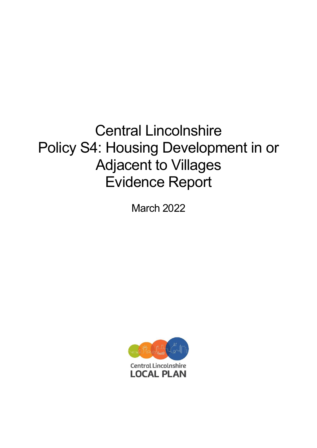# Central Lincolnshire Policy S4: Housing Development in or Adjacent to Villages Evidence Report

March 2022

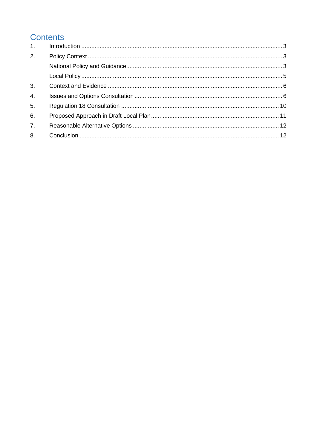# **Contents**

| 1.               |  |
|------------------|--|
| 2.               |  |
|                  |  |
|                  |  |
| 3.               |  |
| $\overline{4}$ . |  |
| 5.               |  |
| 6.               |  |
| 7 <sub>1</sub>   |  |
| 8.               |  |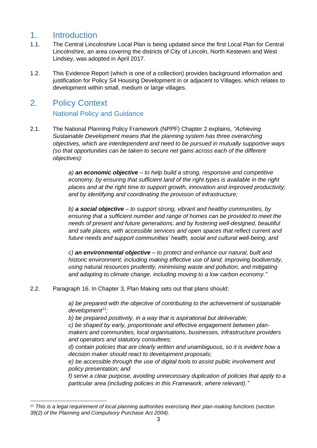### <span id="page-2-0"></span>1. Introduction

- 1.1. The Central Lincolnshire Local Plan is being updated since the first Local Plan for Central Lincolnshire, an area covering the districts of City of Lincoln, North Kesteven and West Lindsey, was adopted in April 2017.
- 1.2. This Evidence Report (which is one of a collection) provides background information and justification for Policy S4 Housing Development in or adjacent to Villages, which relates to development within small, medium or large villages.

### <span id="page-2-2"></span><span id="page-2-1"></span>2. Policy Context

### National Policy and Guidance

2.1. The National Planning Policy Framework (NPPF) Chapter 2 explains, *"Achieving Sustainable Development means that the planning system has three overarching objectives, which are interdependent and need to be pursued in mutually supportive ways (so that opportunities can be taken to secure net gains across each of the different objectives):* 

> *a) an economic objective – to help build a strong, responsive and competitive economy, by ensuring that sufficient land of the right types is available in the right places and at the right time to support growth, innovation and improved productivity; and by identifying and coordinating the provision of infrastructure;*

*b) a social objective – to support strong, vibrant and healthy communities, by ensuring that a sufficient number and range of homes can be provided to meet the needs of present and future generations; and by fostering well-designed, beautiful and safe places, with accessible services and open spaces that reflect current and future needs and support communities' health, social and cultural well-being; and* 

*c) an environmental objective – to protect and enhance our natural, built and historic environment; including making effective use of land, improving biodiversity, using natural resources prudently, minimising waste and pollution, and mitigating and adapting to climate change, including moving to a low carbon economy."*

#### 2.2. Paragraph 16. In Chapter 3, Plan Making sets out that plans should:

*a) be prepared with the objective of contributing to the achievement of sustainable development<sup>11</sup>;* 

*b) be prepared positively, in a way that is aspirational but deliverable; c) be shaped by early, proportionate and effective engagement between planmakers and communities, local organisations, businesses, infrastructure providers and operators and statutory consultees;* 

*d) contain policies that are clearly written and unambiguous, so it is evident how a decision maker should react to development proposals;* 

*e) be accessible through the use of digital tools to assist public involvement and policy presentation; and* 

*f) serve a clear purpose, avoiding unnecessary duplication of policies that apply to a particular area (including policies in this Framework, where relevant)."*

<sup>11</sup> *This is a legal requirement of local planning authorities exercising their plan-making functions (section 39(2) of the Planning and Compulsory Purchase Act 2004).*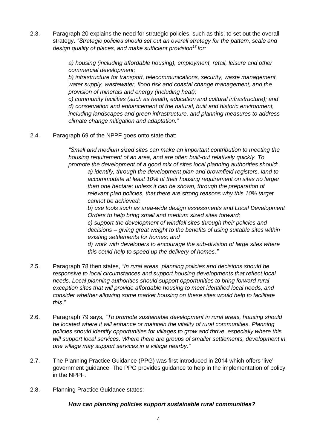2.3. Paragraph 20 explains the need for strategic policies, such as this, to set out the overall strategy. *"Strategic policies should set out an overall strategy for the pattern, scale and design quality of places, and make sufficient provision<sup>13</sup>for:* 

> *a) housing (including affordable housing), employment, retail, leisure and other commercial development;*

*b) infrastructure for transport, telecommunications, security, waste management, water supply, wastewater, flood risk and coastal change management, and the provision of minerals and energy (including heat);* 

*c) community facilities (such as health, education and cultural infrastructure); and d) conservation and enhancement of the natural, built and historic environment, including landscapes and green infrastructure, and planning measures to address climate change mitigation and adaptation."*

2.4. Paragraph 69 of the NPPF goes onto state that:

*"Small and medium sized sites can make an important contribution to meeting the housing requirement of an area, and are often built-out relatively quickly. To promote the development of a good mix of sites local planning authorities should:* 

*a) identify, through the development plan and brownfield registers, land to accommodate at least 10% of their housing requirement on sites no larger than one hectare; unless it can be shown, through the preparation of relevant plan policies, that there are strong reasons why this 10% target cannot be achieved;* 

*b) use tools such as area-wide design assessments and Local Development Orders to help bring small and medium sized sites forward; c) support the development of windfall sites through their policies and decisions – giving great weight to the benefits of using suitable sites within existing settlements for homes; and d) work with developers to encourage the sub-division of large sites where this could help to speed up the delivery of homes."*

- 2.5. Paragraph 78 then states, *"In rural areas, planning policies and decisions should be responsive to local circumstances and support housing developments that reflect local needs. Local planning authorities should support opportunities to bring forward rural exception sites that will provide affordable housing to meet identified local needs, and consider whether allowing some market housing on these sites would help to facilitate this."*
- 2.6. Paragraph 79 says, *"To promote sustainable development in rural areas, housing should be located where it will enhance or maintain the vitality of rural communities. Planning policies should identify opportunities for villages to grow and thrive, especially where this will support local services. Where there are groups of smaller settlements, development in one village may support services in a village nearby."*
- 2.7. The Planning Practice Guidance (PPG) was first introduced in 2014 which offers 'live' government guidance. The PPG provides guidance to help in the implementation of policy in the NPPF.
- 2.8. Planning Practice Guidance states:

#### *How can planning policies support sustainable rural communities?*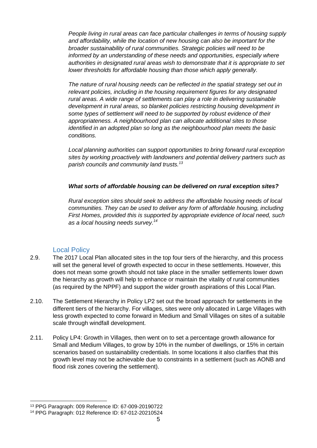*People living in rural areas can face particular challenges in terms of housing supply and affordability, while the location of new housing can also be important for the broader sustainability of rural communities. Strategic policies will need to be informed by an understanding of these needs and opportunities, especially where authorities in designated rural areas wish to demonstrate that it is appropriate to set lower thresholds for affordable housing than those which apply generally.*

*The nature of rural housing needs can be reflected in the spatial strategy set out in relevant policies, including in the housing requirement figures for any designated rural areas. A wide range of settlements can play a role in delivering sustainable development in rural areas, so blanket policies restricting housing development in some types of settlement will need to be supported by robust evidence of their appropriateness. A neighbourhood plan can allocate additional sites to those identified in an adopted plan so long as the neighbourhood plan meets the basic conditions.*

*Local planning authorities can support opportunities to bring forward rural exception sites by working proactively with landowners and potential delivery partners such as parish councils and community land trusts.<sup>13</sup>*

#### *What sorts of affordable housing can be delivered on rural exception sites?*

*Rural exception sites should seek to address the affordable housing needs of local communities. They can be used to deliver any form of affordable housing, including First Homes, provided this is supported by appropriate evidence of local need, such as a local housing needs survey.<sup>14</sup>*

#### Local Policy

- <span id="page-4-0"></span>2.9. The 2017 Local Plan allocated sites in the top four tiers of the hierarchy, and this process will set the general level of growth expected to occur in these settlements. However, this does not mean some growth should not take place in the smaller settlements lower down the hierarchy as growth will help to enhance or maintain the vitality of rural communities (as required by the NPPF) and support the wider growth aspirations of this Local Plan.
- 2.10. The Settlement Hierarchy in Policy LP2 set out the broad approach for settlements in the different tiers of the hierarchy. For villages, sites were only allocated in Large Villages with less growth expected to come forward in Medium and Small Villages on sites of a suitable scale through windfall development.
- 2.11. Policy LP4: Growth in Villages, then went on to set a percentage growth allowance for Small and Medium Villages, to grow by 10% in the number of dwellings, or 15% in certain scenarios based on sustainability credentials. In some locations it also clarifies that this growth level may not be achievable due to constraints in a settlement (such as AONB and flood risk zones covering the settlement).

<sup>13</sup> PPG Paragraph: 009 Reference ID: 67-009-20190722

<sup>14</sup> PPG Paragraph: 012 Reference ID: 67-012-20210524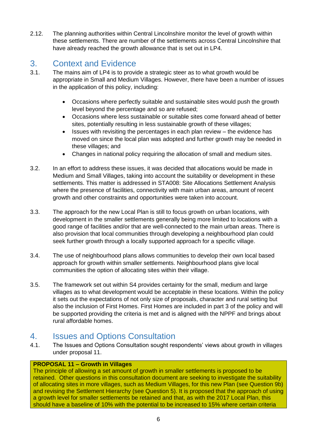2.12. The planning authorities within Central Lincolnshire monitor the level of growth within these settlements. There are number of the settlements across Central Lincolnshire that have already reached the growth allowance that is set out in LP4.

# <span id="page-5-0"></span>3. Context and Evidence

- 3.1. The mains aim of LP4 is to provide a strategic steer as to what growth would be appropriate in Small and Medium Villages. However, there have been a number of issues in the application of this policy, including:
	- Occasions where perfectly suitable and sustainable sites would push the growth level beyond the percentage and so are refused;
	- Occasions where less sustainable or suitable sites come forward ahead of better sites, potentially resulting in less sustainable growth of these villages;
	- Issues with revisiting the percentages in each plan review the evidence has moved on since the local plan was adopted and further growth may be needed in these villages; and
	- Changes in national policy requiring the allocation of small and medium sites.
- 3.2. In an effort to address these issues, it was decided that allocations would be made in Medium and Small Villages, taking into account the suitability or development in these settlements. This matter is addressed in STA008: Site Allocations Settlement Analysis where the presence of facilities, connectivity with main urban areas, amount of recent growth and other constraints and opportunities were taken into account.
- 3.3. The approach for the new Local Plan is still to focus growth on urban locations, with development in the smaller settlements generally being more limited to locations with a good range of facilities and/or that are well-connected to the main urban areas. There is also provision that local communities through developing a neighbourhood plan could seek further growth through a locally supported approach for a specific village.
- 3.4. The use of neighbourhood plans allows communities to develop their own local based approach for growth within smaller settlements. Neighbourhood plans give local communities the option of allocating sites within their village.
- 3.5. The framework set out within S4 provides certainty for the small, medium and large villages as to what development would be acceptable in these locations. Within the policy it sets out the expectations of not only size of proposals, character and rural setting but also the inclusion of First Homes. First Homes are included in part 3 of the policy and will be supported providing the criteria is met and is aligned with the NPPF and brings about rural affordable homes.

### <span id="page-5-1"></span>4. Issues and Options Consultation

4.1. The Issues and Options Consultation sought respondents' views about growth in villages under proposal 11.

### **PROPOSAL 11 – Growth in Villages**

The principle of allowing a set amount of growth in smaller settlements is proposed to be retained. Other questions in this consultation document are seeking to investigate the suitability of allocating sites in more villages, such as Medium Villages, for this new Plan (see Question 9b) and revising the Settlement Hierarchy (see Question 5). It is proposed that the approach of using a growth level for smaller settlements be retained and that, as with the 2017 Local Plan, this should have a baseline of 10% with the potential to be increased to 15% where certain criteria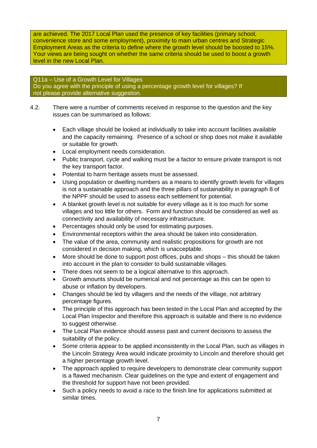are achieved. The 2017 Local Plan used the presence of key facilities (primary school, convenience store and some employment), proximity to main urban centres and Strategic Employment Areas as the criteria to define where the growth level should be boosted to 15%. Your views are being sought on whether the same criteria should be used to boost a growth level in the new Local Plan.

#### Q11a – Use of a Growth Level for Villages Do you agree with the principle of using a percentage growth level for villages? If not please provide alternative suggestion.

- 4.2. There were a number of comments received in response to the question and the key issues can be summarised as follows:
	- Each village should be looked at individually to take into account facilities available and the capacity remaining. Presence of a school or shop does not make it available or suitable for growth.
	- Local employment needs consideration.
	- Public transport, cycle and walking must be a factor to ensure private transport is not the key transport factor.
	- Potential to harm heritage assets must be assessed.
	- Using population or dwelling numbers as a means to identify growth levels for villages is not a sustainable approach and the three pillars of sustainability in paragraph 8 of the NPPF should be used to assess each settlement for potential.
	- A blanket growth level is not suitable for every village as it is too much for some villages and too little for others. Form and function should be considered as well as connectivity and availability of necessary infrastructure.
	- Percentages should only be used for estimating purposes.
	- Environmental receptors within the area should be taken into consideration.
	- The value of the area, community and realistic propositions for growth are not considered in decision making, which is unacceptable.
	- More should be done to support post offices, pubs and shops this should be taken into account in the plan to consider to build sustainable villages.
	- There does not seem to be a logical alternative to this approach.
	- Growth amounts should be numerical and not percentage as this can be open to abuse or inflation by developers.
	- Changes should be led by villagers and the needs of the village, not arbitrary percentage figures.
	- The principle of this approach has been tested in the Local Plan and accepted by the Local Plan Inspector and therefore this approach is suitable and there is no evidence to suggest otherwise.
	- The Local Plan evidence should assess past and current decisions to assess the suitability of the policy.
	- Some criteria appear to be applied inconsistently in the Local Plan, such as villages in the Lincoln Strategy Area would indicate proximity to Lincoln and therefore should get a higher percentage growth level.
	- The approach applied to require developers to demonstrate clear community support is a flawed mechanism. Clear guidelines on the type and extent of engagement and the threshold for support have not been provided.
	- Such a policy needs to avoid a race to the finish line for applications submitted at similar times.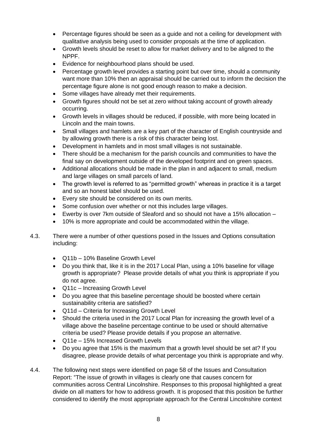- Percentage figures should be seen as a guide and not a ceiling for development with qualitative analysis being used to consider proposals at the time of application.
- Growth levels should be reset to allow for market delivery and to be aligned to the NPPF.
- Evidence for neighbourhood plans should be used.
- Percentage growth level provides a starting point but over time, should a community want more than 10% then an appraisal should be carried out to inform the decision the percentage figure alone is not good enough reason to make a decision.
- Some villages have already met their requirements.
- Growth figures should not be set at zero without taking account of growth already occurring.
- Growth levels in villages should be reduced, if possible, with more being located in Lincoln and the main towns.
- Small villages and hamlets are a key part of the character of English countryside and by allowing growth there is a risk of this character being lost.
- Development in hamlets and in most small villages is not sustainable.
- There should be a mechanism for the parish councils and communities to have the final say on development outside of the developed footprint and on green spaces.
- Additional allocations should be made in the plan in and adjacent to small, medium and large villages on small parcels of land.
- The growth level is referred to as "permitted growth" whereas in practice it is a target and so an honest label should be used.
- Every site should be considered on its own merits.
- Some confusion over whether or not this includes large villages.
- Ewerby is over 7km outside of Sleaford and so should not have a 15% allocation –
- 10% is more appropriate and could be accommodated within the village.
- 4.3. There were a number of other questions posed in the Issues and Options consultation including:
	- Q11b 10% Baseline Growth Level
	- Do you think that, like it is in the 2017 Local Plan, using a 10% baseline for village growth is appropriate? Please provide details of what you think is appropriate if you do not agree.
	- Q11c Increasing Growth Level
	- Do you agree that this baseline percentage should be boosted where certain sustainability criteria are satisfied?
	- Q11d Criteria for Increasing Growth Level
	- Should the criteria used in the 2017 Local Plan for increasing the growth level of a village above the baseline percentage continue to be used or should alternative criteria be used? Please provide details if you propose an alternative.
	- Q11e 15% Increased Growth Levels
	- Do you agree that 15% is the maximum that a growth level should be set at? If you disagree, please provide details of what percentage you think is appropriate and why.
- 4.4. The following next steps were identified on page 58 of the Issues and Consultation Report: "The issue of growth in villages is clearly one that causes concern for communities across Central Lincolnshire. Responses to this proposal highlighted a great divide on all matters for how to address growth. It is proposed that this position be further considered to identify the most appropriate approach for the Central Lincolnshire context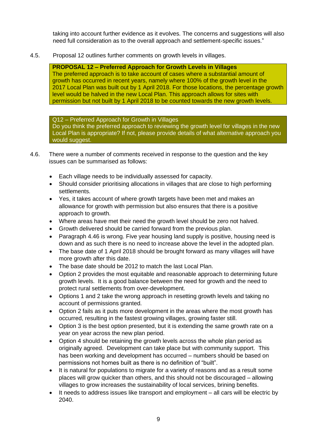taking into account further evidence as it evolves. The concerns and suggestions will also need full consideration as to the overall approach and settlement-specific issues."

4.5. Proposal 12 outlines further comments on growth levels in villages.

**PROPOSAL 12 – Preferred Approach for Growth Levels in Villages**  The preferred approach is to take account of cases where a substantial amount of growth has occurred in recent years, namely where 100% of the growth level in the 2017 Local Plan was built out by 1 April 2018. For those locations, the percentage growth level would be halved in the new Local Plan. This approach allows for sites with permission but not built by 1 April 2018 to be counted towards the new growth levels.

Q12 – Preferred Approach for Growth in Villages Do you think the preferred approach to reviewing the growth level for villages in the new Local Plan is appropriate? If not, please provide details of what alternative approach you would suggest.

- 4.6. There were a number of comments received in response to the question and the key issues can be summarised as follows:
	- Each village needs to be individually assessed for capacity.
	- Should consider prioritising allocations in villages that are close to high performing settlements.
	- Yes, it takes account of where growth targets have been met and makes an allowance for growth with permission but also ensures that there is a positive approach to growth.
	- Where areas have met their need the growth level should be zero not halved.
	- Growth delivered should be carried forward from the previous plan.
	- Paragraph 4.46 is wrong. Five year housing land supply is positive, housing need is down and as such there is no need to increase above the level in the adopted plan.
	- The base date of 1 April 2018 should be brought forward as many villages will have more growth after this date.
	- The base date should be 2012 to match the last Local Plan.
	- Option 2 provides the most equitable and reasonable approach to determining future growth levels. It is a good balance between the need for growth and the need to protect rural settlements from over-development.
	- Options 1 and 2 take the wrong approach in resetting growth levels and taking no account of permissions granted.
	- Option 2 fails as it puts more development in the areas where the most growth has occurred, resulting in the fastest growing villages, growing faster still.
	- Option 3 is the best option presented, but it is extending the same growth rate on a year on year across the new plan period.
	- Option 4 should be retaining the growth levels across the whole plan period as originally agreed. Development can take place but with community support. This has been working and development has occurred – numbers should be based on permissions not homes built as there is no definition of "built".
	- It is natural for populations to migrate for a variety of reasons and as a result some places will grow quicker than others, and this should not be discouraged – allowing villages to grow increases the sustainability of local services, brining benefits.
	- It needs to address issues like transport and employment all cars will be electric by 2040.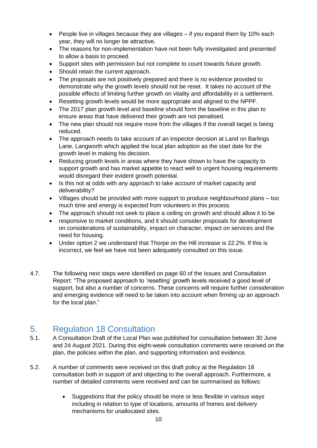- People live in villages because they are villages if you expand them by 10% each year, they will no longer be attractive.
- The reasons for non-implementation have not been fully investigated and presented to allow a basis to proceed.
- Support sites with permission but not complete to count towards future growth.
- Should retain the current approach.
- The proposals are not positively prepared and there is no evidence provided to demonstrate why the growth levels should not be reset. It takes no account of the possible effects of limiting further growth on vitality and affordability in a settlement.
- Resetting growth levels would be more appropriate and aligned to the NPPF.
- The 2017 plan growth level and baseline should form the baseline in this plan to ensure areas that have delivered their growth are not penalised.
- The new plan should not require more from the villages if the overall target is being reduced.
- The approach needs to take account of an inspector decision at Land on Barlings Lane, Langworth which applied the local plan adoption as the start date for the growth level in making his decision.
- Reducing growth levels in areas where they have shown to have the capacity to support growth and has market appetite to react well to urgent housing requirements would disregard their evident growth potential.
- Is this not at odds with any approach to take account of market capacity and deliverability?
- Villages should be provided with more support to produce neighbourhood plans too much time and energy is expected from volunteers in this process.
- The approach should not seek to place a ceiling on growth and should allow it to be
- responsive to market conditions, and it should consider proposals for development on considerations of sustainability, impact on character, impact on services and the need for housing.
- Under option 2 we understand that Thorpe on the Hill increase is 22.2%. If this is incorrect, we feel we have not been adequately consulted on this issue.
- 4.7. The following next steps were identified on page 60 of the Issues and Consultation Report: "The proposed approach to 'resetting' growth levels received a good level of support, but also a number of concerns. These concerns will require further consideration and emerging evidence will need to be taken into account when firming up an approach for the local plan."

## <span id="page-9-0"></span>5. Regulation 18 Consultation

- 5.1. A Consultation Draft of the Local Plan was published for consultation between 30 June and 24 August 2021. During this eight-week consultation comments were received on the plan, the policies within the plan, and supporting information and evidence.
- 5.2. A number of comments were received on this draft policy at the Regulation 18 consultation both in support of and objecting to the overall approach. Furthermore, a number of detailed comments were received and can be summarised as follows:
	- Suggestions that the policy should be more or less flexible in various ways including in relation to type of locations, amounts of homes and delivery mechanisms for unallocated sites.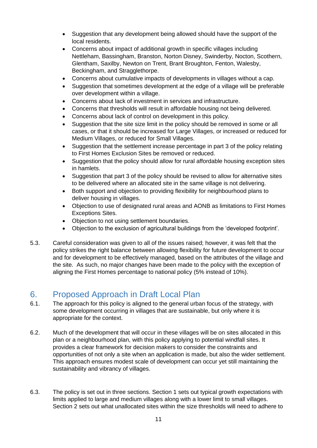- Suggestion that any development being allowed should have the support of the local residents.
- Concerns about impact of additional growth in specific villages including Nettleham, Bassingham, Branston, Norton Disney, Swinderby, Nocton, Scothern, Glentham, Saxilby, Newton on Trent, Brant Broughton, Fenton, Walesby, Beckingham, and Stragglethorpe.
- Concerns about cumulative impacts of developments in villages without a cap.
- Suggestion that sometimes development at the edge of a village will be preferable over development within a village.
- Concerns about lack of investment in services and infrastructure.
- Concerns that thresholds will result in affordable housing not being delivered.
- Concerns about lack of control on development in this policy.
- Suggestion that the site size limit in the policy should be removed in some or all cases, or that it should be increased for Large Villages, or increased or reduced for Medium Villages, or reduced for Small Villages.
- Suggestion that the settlement increase percentage in part 3 of the policy relating to First Homes Exclusion Sites be removed or reduced.
- Suggestion that the policy should allow for rural affordable housing exception sites in hamlets.
- Suggestion that part 3 of the policy should be revised to allow for alternative sites to be delivered where an allocated site in the same village is not delivering.
- Both support and objection to providing flexibility for neighbourhood plans to deliver housing in villages.
- Objection to use of designated rural areas and AONB as limitations to First Homes Exceptions Sites.
- Objection to not using settlement boundaries.
- Objection to the exclusion of agricultural buildings from the 'developed footprint'.
- 5.3. Careful consideration was given to all of the issues raised; however, it was felt that the policy strikes the right balance between allowing flexibility for future development to occur and for development to be effectively managed, based on the attributes of the village and the site. As such, no major changes have been made to the policy with the exception of aligning the First Homes percentage to national policy (5% instead of 10%).

## <span id="page-10-0"></span>6. Proposed Approach in Draft Local Plan

- 6.1. The approach for this policy is aligned to the general urban focus of the strategy, with some development occurring in villages that are sustainable, but only where it is appropriate for the context.
- 6.2. Much of the development that will occur in these villages will be on sites allocated in this plan or a neighbourhood plan, with this policy applying to potential windfall sites. It provides a clear framework for decision makers to consider the constraints and opportunities of not only a site when an application is made, but also the wider settlement. This approach ensures modest scale of development can occur yet still maintaining the sustainability and vibrancy of villages.
- 6.3. The policy is set out in three sections. Section 1 sets out typical growth expectations with limits applied to large and medium villages along with a lower limit to small villages. Section 2 sets out what unallocated sites within the size thresholds will need to adhere to